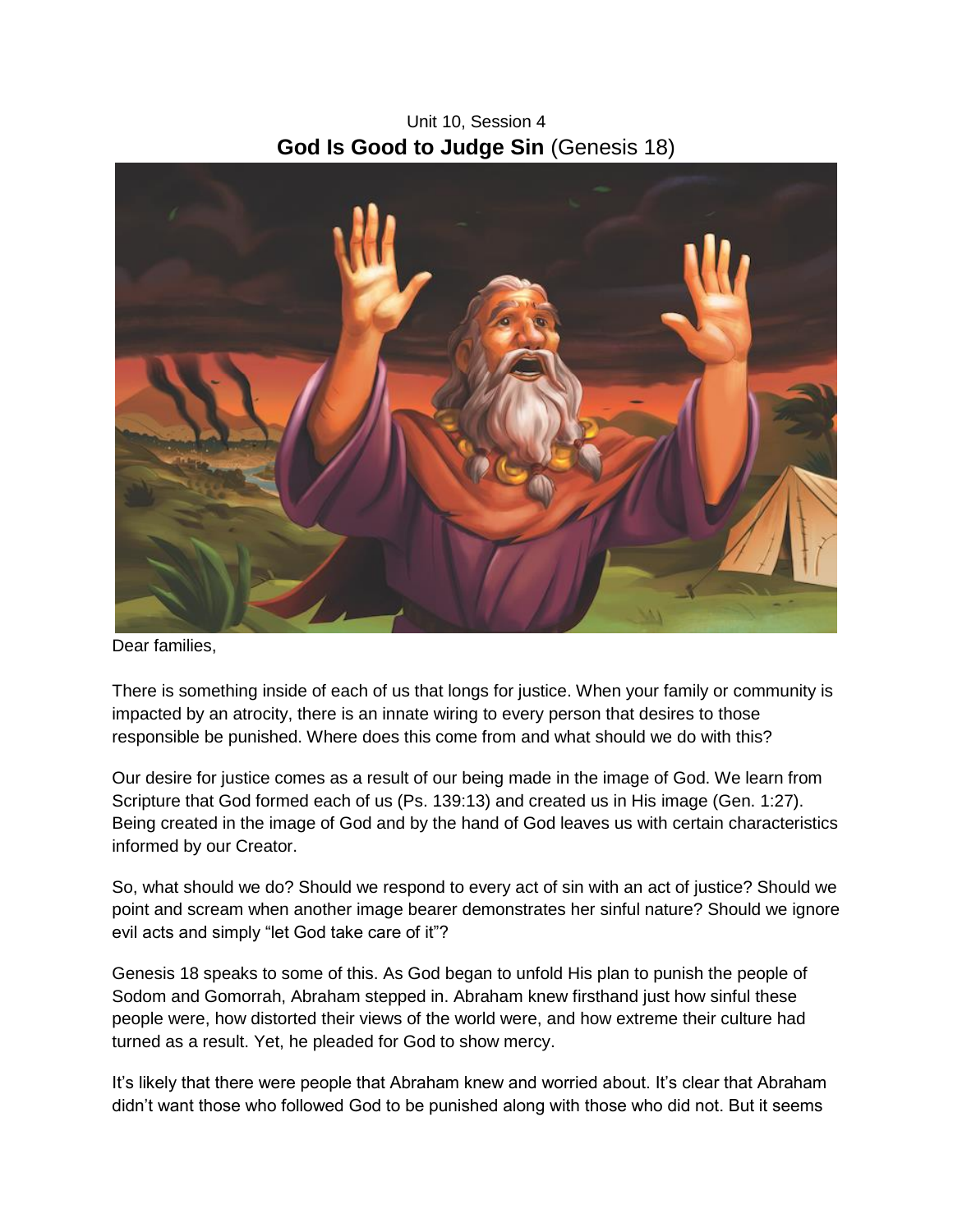Unit 10, Session 4 **God Is Good to Judge Sin** (Genesis 18)



Dear families,

There is something inside of each of us that longs for justice. When your family or community is impacted by an atrocity, there is an innate wiring to every person that desires to those responsible be punished. Where does this come from and what should we do with this?

Our desire for justice comes as a result of our being made in the image of God. We learn from Scripture that God formed each of us (Ps. 139:13) and created us in His image (Gen. 1:27). Being created in the image of God and by the hand of God leaves us with certain characteristics informed by our Creator.

So, what should we do? Should we respond to every act of sin with an act of justice? Should we point and scream when another image bearer demonstrates her sinful nature? Should we ignore evil acts and simply "let God take care of it"?

Genesis 18 speaks to some of this. As God began to unfold His plan to punish the people of Sodom and Gomorrah, Abraham stepped in. Abraham knew firsthand just how sinful these people were, how distorted their views of the world were, and how extreme their culture had turned as a result. Yet, he pleaded for God to show mercy.

It's likely that there were people that Abraham knew and worried about. It's clear that Abraham didn't want those who followed God to be punished along with those who did not. But it seems